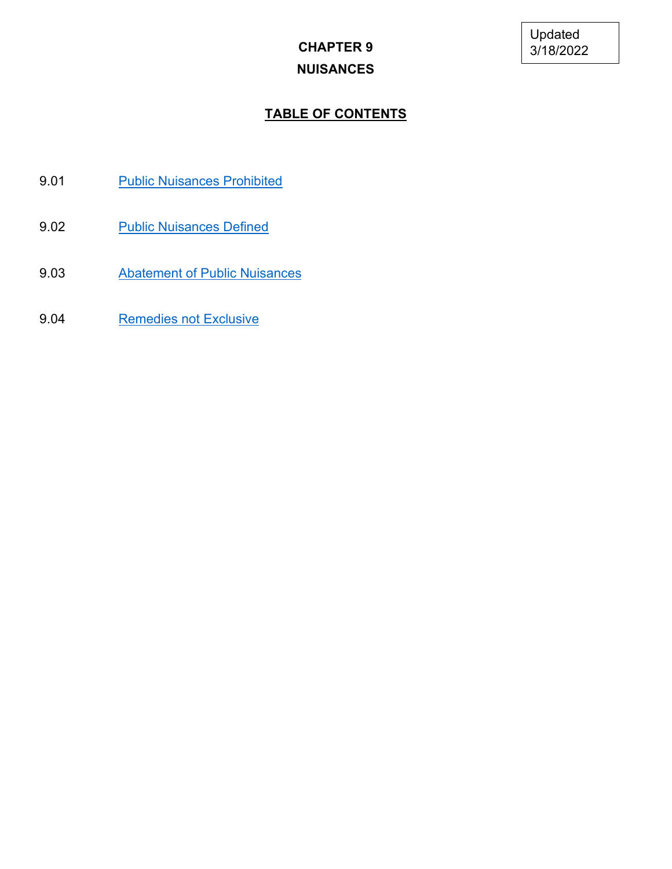# **CHAPTER 9 NUISANCES**

## **TABLE OF CONTENTS**

- 9.01 [Public Nuisances Prohibited](#page-1-0)
- 9.02 [Public Nuisances Defined](#page-1-1)
- 9.03 [Abatement of Public Nuisances](#page-3-0)
- 9.04 [Remedies not Exclusive](#page-4-0)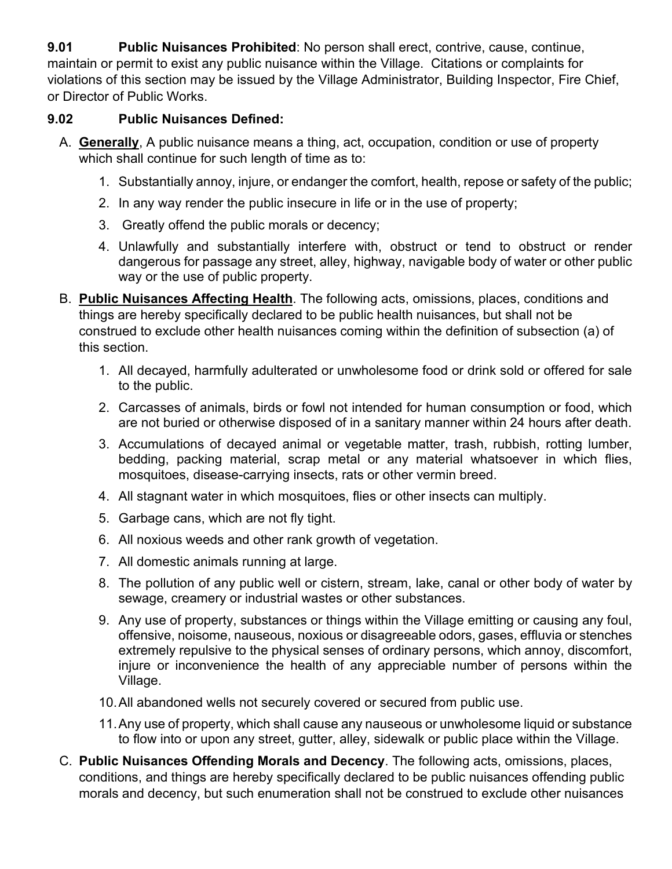<span id="page-1-0"></span>**9.01 Public Nuisances Prohibited**: No person shall erect, contrive, cause, continue, maintain or permit to exist any public nuisance within the Village. Citations or complaints for violations of this section may be issued by the Village Administrator, Building Inspector, Fire Chief, or Director of Public Works.

## <span id="page-1-1"></span>**9.02 Public Nuisances Defined:**

- A. **Generally**, A public nuisance means a thing, act, occupation, condition or use of property which shall continue for such length of time as to:
	- 1. Substantially annoy, injure, or endanger the comfort, health, repose or safety of the public;
	- 2. In any way render the public insecure in life or in the use of property;
	- 3. Greatly offend the public morals or decency;
	- 4. Unlawfully and substantially interfere with, obstruct or tend to obstruct or render dangerous for passage any street, alley, highway, navigable body of water or other public way or the use of public property.
- B. **Public Nuisances Affecting Health**. The following acts, omissions, places, conditions and things are hereby specifically declared to be public health nuisances, but shall not be construed to exclude other health nuisances coming within the definition of subsection (a) of this section.
	- 1. All decayed, harmfully adulterated or unwholesome food or drink sold or offered for sale to the public.
	- 2. Carcasses of animals, birds or fowl not intended for human consumption or food, which are not buried or otherwise disposed of in a sanitary manner within 24 hours after death.
	- 3. Accumulations of decayed animal or vegetable matter, trash, rubbish, rotting lumber, bedding, packing material, scrap metal or any material whatsoever in which flies, mosquitoes, disease-carrying insects, rats or other vermin breed.
	- 4. All stagnant water in which mosquitoes, flies or other insects can multiply.
	- 5. Garbage cans, which are not fly tight.
	- 6. All noxious weeds and other rank growth of vegetation.
	- 7. All domestic animals running at large.
	- 8. The pollution of any public well or cistern, stream, lake, canal or other body of water by sewage, creamery or industrial wastes or other substances.
	- 9. Any use of property, substances or things within the Village emitting or causing any foul, offensive, noisome, nauseous, noxious or disagreeable odors, gases, effluvia or stenches extremely repulsive to the physical senses of ordinary persons, which annoy, discomfort, injure or inconvenience the health of any appreciable number of persons within the Village.
	- 10.All abandoned wells not securely covered or secured from public use.
	- 11.Any use of property, which shall cause any nauseous or unwholesome liquid or substance to flow into or upon any street, gutter, alley, sidewalk or public place within the Village.
- C. **Public Nuisances Offending Morals and Decency**. The following acts, omissions, places, conditions, and things are hereby specifically declared to be public nuisances offending public morals and decency, but such enumeration shall not be construed to exclude other nuisances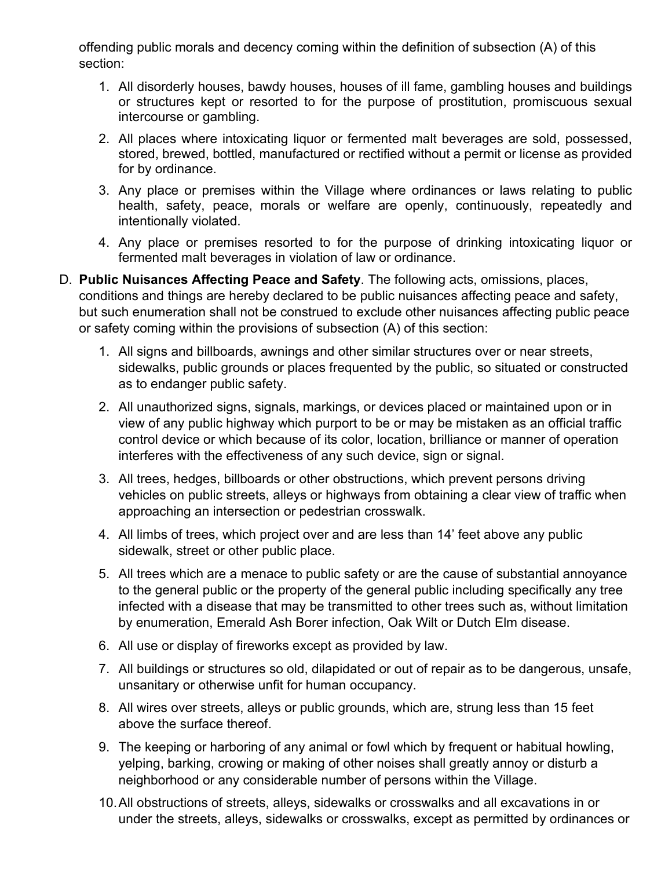offending public morals and decency coming within the definition of subsection (A) of this section:

- 1. All disorderly houses, bawdy houses, houses of ill fame, gambling houses and buildings or structures kept or resorted to for the purpose of prostitution, promiscuous sexual intercourse or gambling.
- 2. All places where intoxicating liquor or fermented malt beverages are sold, possessed, stored, brewed, bottled, manufactured or rectified without a permit or license as provided for by ordinance.
- 3. Any place or premises within the Village where ordinances or laws relating to public health, safety, peace, morals or welfare are openly, continuously, repeatedly and intentionally violated.
- 4. Any place or premises resorted to for the purpose of drinking intoxicating liquor or fermented malt beverages in violation of law or ordinance.
- D. **Public Nuisances Affecting Peace and Safety**. The following acts, omissions, places, conditions and things are hereby declared to be public nuisances affecting peace and safety, but such enumeration shall not be construed to exclude other nuisances affecting public peace or safety coming within the provisions of subsection (A) of this section:
	- 1. All signs and billboards, awnings and other similar structures over or near streets, sidewalks, public grounds or places frequented by the public, so situated or constructed as to endanger public safety.
	- 2. All unauthorized signs, signals, markings, or devices placed or maintained upon or in view of any public highway which purport to be or may be mistaken as an official traffic control device or which because of its color, location, brilliance or manner of operation interferes with the effectiveness of any such device, sign or signal.
	- 3. All trees, hedges, billboards or other obstructions, which prevent persons driving vehicles on public streets, alleys or highways from obtaining a clear view of traffic when approaching an intersection or pedestrian crosswalk.
	- 4. All limbs of trees, which project over and are less than 14' feet above any public sidewalk, street or other public place.
	- 5. All trees which are a menace to public safety or are the cause of substantial annoyance to the general public or the property of the general public including specifically any tree infected with a disease that may be transmitted to other trees such as, without limitation by enumeration, Emerald Ash Borer infection, Oak Wilt or Dutch Elm disease.
	- 6. All use or display of fireworks except as provided by law.
	- 7. All buildings or structures so old, dilapidated or out of repair as to be dangerous, unsafe, unsanitary or otherwise unfit for human occupancy.
	- 8. All wires over streets, alleys or public grounds, which are, strung less than 15 feet above the surface thereof.
	- 9. The keeping or harboring of any animal or fowl which by frequent or habitual howling, yelping, barking, crowing or making of other noises shall greatly annoy or disturb a neighborhood or any considerable number of persons within the Village.
	- 10.All obstructions of streets, alleys, sidewalks or crosswalks and all excavations in or under the streets, alleys, sidewalks or crosswalks, except as permitted by ordinances or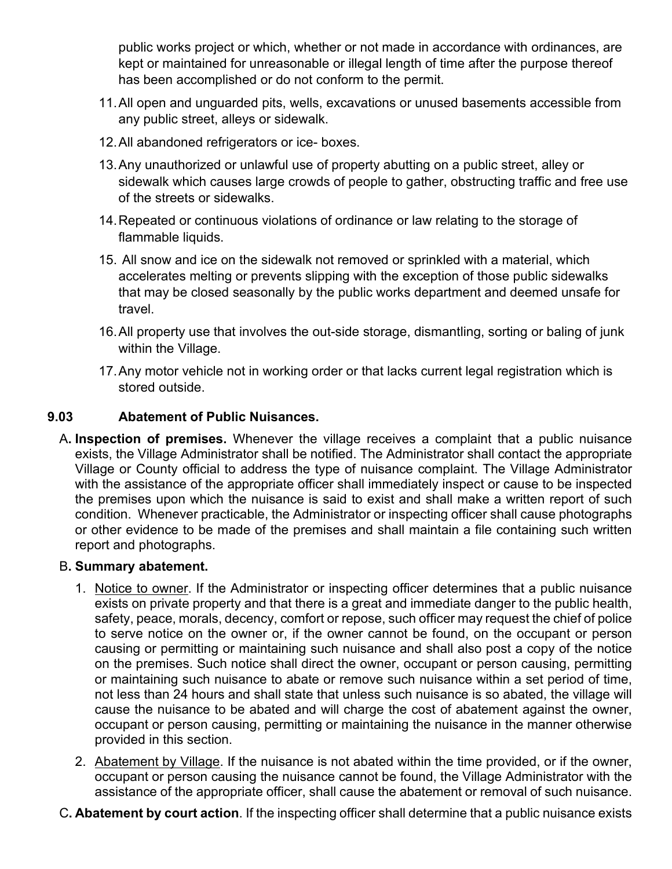public works project or which, whether or not made in accordance with ordinances, are kept or maintained for unreasonable or illegal length of time after the purpose thereof has been accomplished or do not conform to the permit.

- 11.All open and unguarded pits, wells, excavations or unused basements accessible from any public street, alleys or sidewalk.
- 12.All abandoned refrigerators or ice- boxes.
- 13.Any unauthorized or unlawful use of property abutting on a public street, alley or sidewalk which causes large crowds of people to gather, obstructing traffic and free use of the streets or sidewalks.
- 14.Repeated or continuous violations of ordinance or law relating to the storage of flammable liquids.
- 15. All snow and ice on the sidewalk not removed or sprinkled with a material, which accelerates melting or prevents slipping with the exception of those public sidewalks that may be closed seasonally by the public works department and deemed unsafe for travel.
- 16.All property use that involves the out-side storage, dismantling, sorting or baling of junk within the Village.
- 17.Any motor vehicle not in working order or that lacks current legal registration which is stored outside.

## <span id="page-3-0"></span>**9.03 Abatement of Public Nuisances.**

A**. Inspection of premises.** Whenever the village receives a complaint that a public nuisance exists, the Village Administrator shall be notified. The Administrator shall contact the appropriate Village or County official to address the type of nuisance complaint. The Village Administrator with the assistance of the appropriate officer shall immediately inspect or cause to be inspected the premises upon which the nuisance is said to exist and shall make a written report of such condition. Whenever practicable, the Administrator or inspecting officer shall cause photographs or other evidence to be made of the premises and shall maintain a file containing such written report and photographs.

#### B**. Summary abatement.**

- 1. Notice to owner. If the Administrator or inspecting officer determines that a public nuisance exists on private property and that there is a great and immediate danger to the public health, safety, peace, morals, decency, comfort or repose, such officer may request the chief of police to serve notice on the owner or, if the owner cannot be found, on the occupant or person causing or permitting or maintaining such nuisance and shall also post a copy of the notice on the premises. Such notice shall direct the owner, occupant or person causing, permitting or maintaining such nuisance to abate or remove such nuisance within a set period of time, not less than 24 hours and shall state that unless such nuisance is so abated, the village will cause the nuisance to be abated and will charge the cost of abatement against the owner, occupant or person causing, permitting or maintaining the nuisance in the manner otherwise provided in this section.
- 2. Abatement by Village. If the nuisance is not abated within the time provided, or if the owner, occupant or person causing the nuisance cannot be found, the Village Administrator with the assistance of the appropriate officer, shall cause the abatement or removal of such nuisance.
- C**. Abatement by court action**. If the inspecting officer shall determine that a public nuisance exists